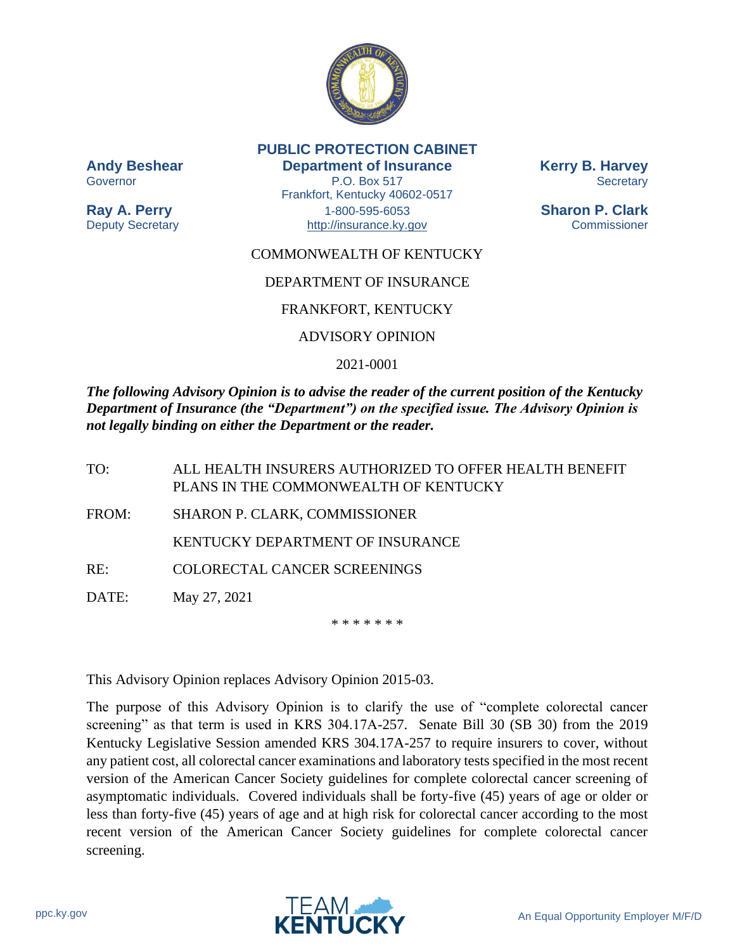

**PUBLIC PROTECTION CABINET Andy Beshear Department of Insurance Kerry B. Harvey** Governor **P.O. Box 517** Secretary Frankfort, Kentucky 40602-0517

**Ray A. Perry** 1-800-595-6053 **Sharon P. Clark** Deputy Secretary **Example 20** [http://insurance.ky.gov](http://insurance.ky.gov/) Commissioner

# COMMONWEALTH OF KENTUCKY

# DEPARTMENT OF INSURANCE

## FRANKFORT, KENTUCKY

# ADVISORY OPINION

# 2021-0001

*The following Advisory Opinion is to advise the reader of the current position of the Kentucky Department of Insurance (the "Department") on the specified issue. The Advisory Opinion is not legally binding on either the Department or the reader.*

TO: ALL HEALTH INSURERS AUTHORIZED TO OFFER HEALTH BENEFIT PLANS IN THE COMMONWEALTH OF KENTUCKY

FROM: SHARON P. CLARK, COMMISSIONER

KENTUCKY DEPARTMENT OF INSURANCE

RE: COLORECTAL CANCER SCREENINGS

DATE: May 27, 2021

\* \* \* \* \* \* \*

This Advisory Opinion replaces Advisory Opinion 2015-03.

The purpose of this Advisory Opinion is to clarify the use of "complete colorectal cancer screening" as that term is used in KRS 304.17A-257. Senate Bill 30 (SB 30) from the 2019 Kentucky Legislative Session amended KRS 304.17A-257 to require insurers to cover, without any patient cost, all colorectal cancer examinations and laboratory tests specified in the most recent version of the American Cancer Society guidelines for complete colorectal cancer screening of asymptomatic individuals. Covered individuals shall be forty-five (45) years of age or older or less than forty-five (45) years of age and at high risk for colorectal cancer according to the most recent version of the American Cancer Society guidelines for complete colorectal cancer screening.